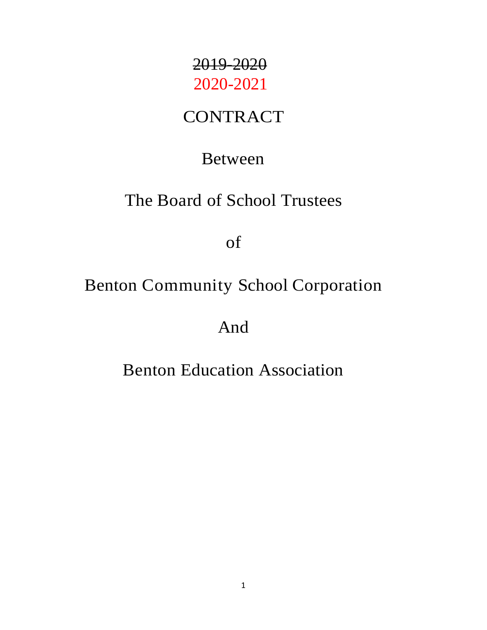# 2019-2020 2020-2021

## **CONTRACT**

### Between

## The Board of School Trustees

of

## Benton Community School Corporation

And

## Benton Education Association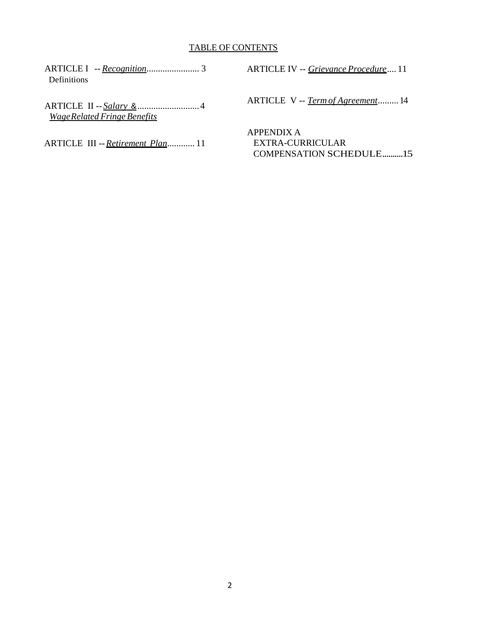#### TABLE OF CONTENTS

ARTICLE I -- *Recognition*....................... 3 [Definitions](#page-2-0)

ARTICLE II -- *Salary* &...........................4 *WageRelated Fringe Benefits*

ARTICLE III --*Retirement Plan*............ 11

ARTICLE IV -- *Grievance Procedure*.... 11

ARTICLE V -- *Term of Agreement*.........14

APPENDIX A EXTRA-CURRICULAR COMPENSATION SCHEDULE..........15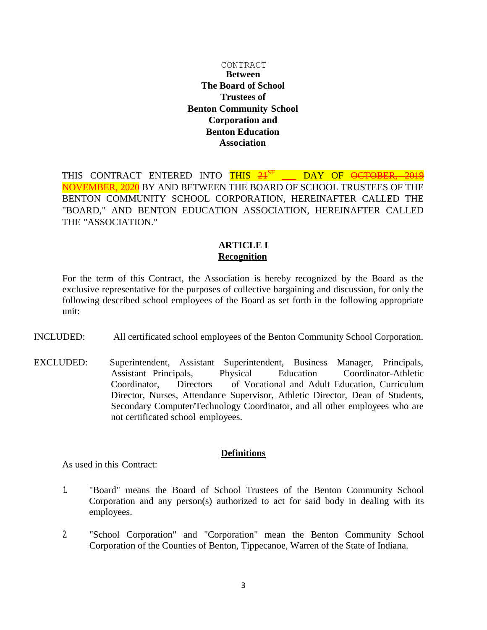#### CONTRACT **Between The Board of School Trustees of Benton Community School Corporation and Benton Education Association**

THIS CONTRACT ENTERED INTO THIS 21<sup>ST</sup> DAY OF <del>OCTOBER, 2019</del> NOVEMBER, 2020 BY AND BETWEEN THE BOARD OF SCHOOL TRUSTEES OF THE BENTON COMMUNITY SCHOOL CORPORATION, HEREINAFTER CALLED THE "BOARD," AND BENTON EDUCATION ASSOCIATION, HEREINAFTER CALLED THE "ASSOCIATION."

#### **ARTICLE I Recognition**

For the term of this Contract, the Association is hereby recognized by the Board as the exclusive representative for the purposes of collective bargaining and discussion, for only the following described school employees of the Board as set forth in the following appropriate unit:

- INCLUDED: All certificated school employees of the Benton Community School Corporation.
- EXCLUDED: Superintendent, Assistant Superintendent, Business Manager, Principals, Assistant Principals, Physical Education Coordinator-Athletic Coordinator, Directors of Vocational and Adult Education, Curriculum Director, Nurses, Attendance Supervisor, Athletic Director, Dean of Students, Secondary Computer/Technology Coordinator, and all other employees who are not certificated school employees.

#### **Definitions**

<span id="page-2-0"></span>As used in this Contract:

- 1. "Board" means the Board of School Trustees of the Benton Community School Corporation and any person(s) authorized to act for said body in dealing with its employees.
- 2. "School Corporation" and "Corporation" mean the Benton Community School Corporation of the Counties of Benton, Tippecanoe, Warren of the State of Indiana.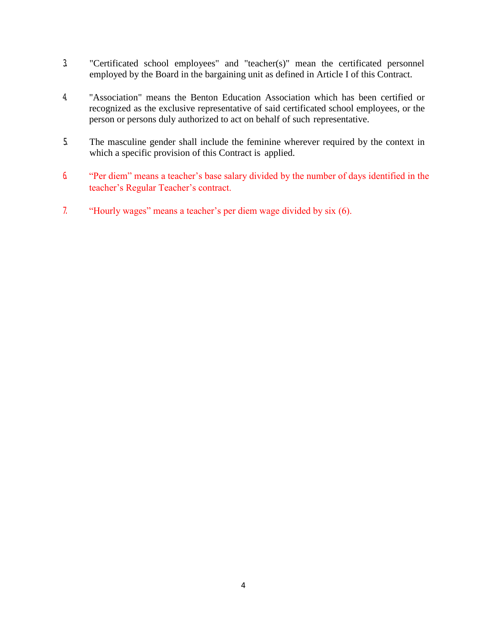- 3. "Certificated school employees" and "teacher(s)" mean the certificated personnel employed by the Board in the bargaining unit as defined in Article I of this Contract.
- 4. "Association" means the Benton Education Association which has been certified or recognized as the exclusive representative of said certificated school employees, or the person or persons duly authorized to act on behalf of such representative.
- 5. The masculine gender shall include the feminine wherever required by the context in which a specific provision of this Contract is applied.
- 6. "Per diem" means a teacher's base salary divided by the number of days identified in the teacher's Regular Teacher's contract.
- 7. "Hourly wages" means a teacher's per diem wage divided by six (6).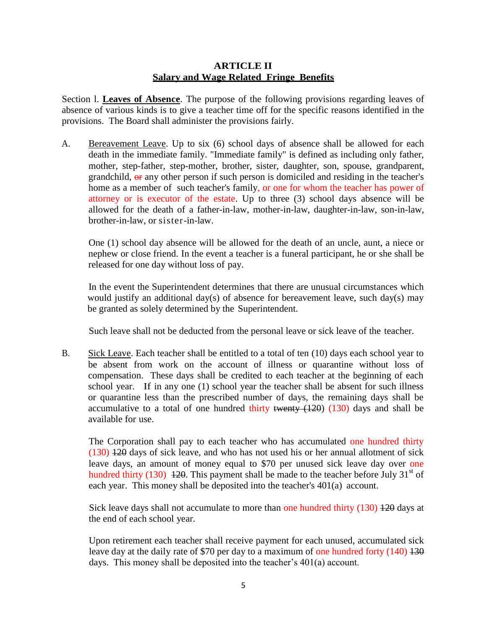#### **ARTICLE II Salary and Wage Related Fringe Benefits**

Section l. **Leaves of Absence**. The purpose of the following provisions regarding leaves of absence of various kinds is to give a teacher time off for the specific reasons identified in the provisions. The Board shall administer the provisions fairly.

A. Bereavement Leave. Up to six (6) school days of absence shall be allowed for each death in the immediate family. "Immediate family" is defined as including only father, mother, step-father, step-mother, brother, sister, daughter, son, spouse, grandparent, grandchild,  $\Theta$  any other person if such person is domiciled and residing in the teacher's home as a member of such teacher's family, or one for whom the teacher has power of attorney or is executor of the estate. Up to three (3) school days absence will be allowed for the death of a father-in-law, mother-in-law, daughter-in-law, son-in-law, brother-in-law, or sister-in-law.

One (1) school day absence will be allowed for the death of an uncle, aunt, a niece or nephew or close friend. In the event a teacher is a funeral participant, he or she shall be released for one day without loss of pay.

In the event the Superintendent determines that there are unusual circumstances which would justify an additional day(s) of absence for bereavement leave, such day(s) may be granted as solely determined by the Superintendent.

Such leave shall not be deducted from the personal leave or sick leave of the teacher.

B. Sick Leave. Each teacher shall be entitled to a total of ten (10) days each school year to be absent from work on the account of illness or quarantine without loss of compensation. These days shall be credited to each teacher at the beginning of each school year. If in any one (1) school year the teacher shall be absent for such illness or quarantine less than the prescribed number of days, the remaining days shall be accumulative to a total of one hundred thirty twenty  $(120)$   $(130)$  days and shall be available for use.

The Corporation shall pay to each teacher who has accumulated one hundred thirty (130) 120 days of sick leave, and who has not used his or her annual allotment of sick leave days, an amount of money equal to \$70 per unused sick leave day over one hundred thirty (130) 120. This payment shall be made to the teacher before July 31<sup>st</sup> of each year. This money shall be deposited into the teacher's 401(a) account.

Sick leave days shall not accumulate to more than one hundred thirty (130) 420 days at the end of each school year.

Upon retirement each teacher shall receive payment for each unused, accumulated sick leave day at the daily rate of \$70 per day to a maximum of one hundred forty (140) 430 days. This money shall be deposited into the teacher's 401(a) account.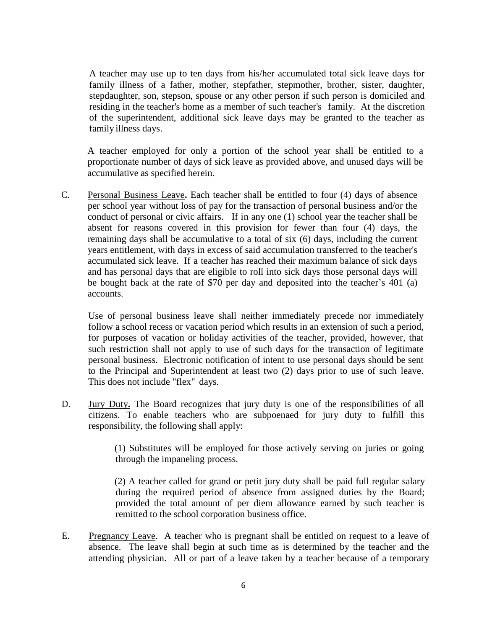A teacher may use up to ten days from his/her accumulated total sick leave days for family illness of a father, mother, stepfather, stepmother, brother, sister, daughter, stepdaughter, son, stepson, spouse or any other person if such person is domiciled and residing in the teacher's home as a member of such teacher's family. At the discretion of the superintendent, additional sick leave days may be granted to the teacher as family illness days.

A teacher employed for only a portion of the school year shall be entitled to a proportionate number of days of sick leave as provided above, and unused days will be accumulative as specified herein.

C. Personal Business Leave**.** Each teacher shall be entitled to four (4) days of absence per school year without loss of pay for the transaction of personal business and/or the conduct of personal or civic affairs. If in any one (1) school year the teacher shall be absent for reasons covered in this provision for fewer than four (4) days, the remaining days shall be accumulative to a total of six (6) days, including the current years entitlement, with days in excess of said accumulation transferred to the teacher's accumulated sick leave. If a teacher has reached their maximum balance of sick days and has personal days that are eligible to roll into sick days those personal days will be bought back at the rate of \$70 per day and deposited into the teacher's 401 (a) accounts.

Use of personal business leave shall neither immediately precede nor immediately follow a school recess or vacation period which results in an extension of such a period, for purposes of vacation or holiday activities of the teacher, provided, however, that such restriction shall not apply to use of such days for the transaction of legitimate personal business. Electronic notification of intent to use personal days should be sent to the Principal and Superintendent at least two (2) days prior to use of such leave. This does not include "flex" days.

D. Jury Duty**.** The Board recognizes that jury duty is one of the responsibilities of all citizens. To enable teachers who are subpoenaed for jury duty to fulfill this responsibility, the following shall apply:

> (1) Substitutes will be employed for those actively serving on juries or going through the impaneling process.

> (2) A teacher called for grand or petit jury duty shall be paid full regular salary during the required period of absence from assigned duties by the Board; provided the total amount of per diem allowance earned by such teacher is remitted to the school corporation business office.

E. Pregnancy Leave. A teacher who is pregnant shall be entitled on request to a leave of absence. The leave shall begin at such time as is determined by the teacher and the attending physician. All or part of a leave taken by a teacher because of a temporary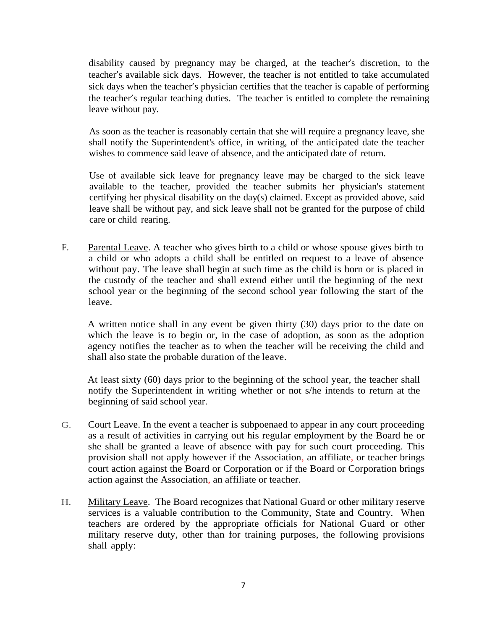disability caused by pregnancy may be charged, at the teacher's discretion, to the teacher's available sick days. However, the teacher is not entitled to take accumulated sick days when the teacher's physician certifies that the teacher is capable of performing the teacher's regular teaching duties. The teacher is entitled to complete the remaining leave without pay.

As soon as the teacher is reasonably certain that she will require a pregnancy leave, she shall notify the Superintendent's office, in writing, of the anticipated date the teacher wishes to commence said leave of absence, and the anticipated date of return.

Use of available sick leave for pregnancy leave may be charged to the sick leave available to the teacher, provided the teacher submits her physician's statement certifying her physical disability on the day(s) claimed. Except as provided above, said leave shall be without pay, and sick leave shall not be granted for the purpose of child care or child rearing.

F. Parental Leave. A teacher who gives birth to a child or whose spouse gives birth to a child or who adopts a child shall be entitled on request to a leave of absence without pay. The leave shall begin at such time as the child is born or is placed in the custody of the teacher and shall extend either until the beginning of the next school year or the beginning of the second school year following the start of the leave.

A written notice shall in any event be given thirty (30) days prior to the date on which the leave is to begin or, in the case of adoption, as soon as the adoption agency notifies the teacher as to when the teacher will be receiving the child and shall also state the probable duration of the leave.

At least sixty (60) days prior to the beginning of the school year, the teacher shall notify the Superintendent in writing whether or not s/he intends to return at the beginning of said school year.

- G. Court Leave. In the event a teacher is subpoenaed to appear in any court proceeding as a result of activities in carrying out his regular employment by the Board he or she shall be granted a leave of absence with pay for such court proceeding. This provision shall not apply however if the Association, an affiliate, or teacher brings court action against the Board or Corporation or if the Board or Corporation brings action against the Association, an affiliate or teacher.
- H. Military Leave. The Board recognizes that National Guard or other military reserve services is a valuable contribution to the Community, State and Country. When teachers are ordered by the appropriate officials for National Guard or other military reserve duty, other than for training purposes, the following provisions shall apply: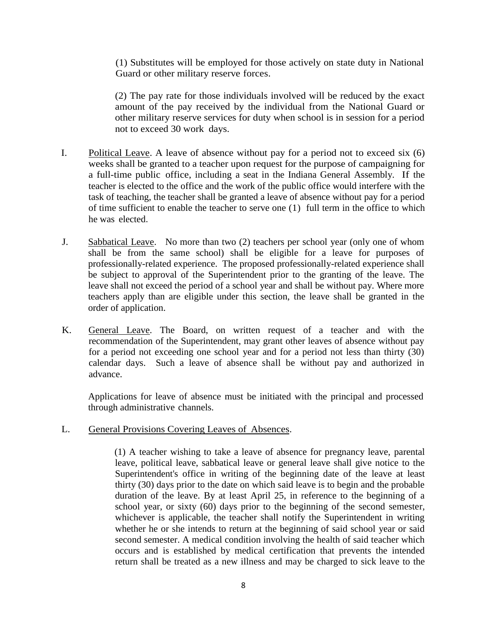(1) Substitutes will be employed for those actively on state duty in National Guard or other military reserve forces.

(2) The pay rate for those individuals involved will be reduced by the exact amount of the pay received by the individual from the National Guard or other military reserve services for duty when school is in session for a period not to exceed 30 work days.

- I. Political Leave. A leave of absence without pay for a period not to exceed six (6) weeks shall be granted to a teacher upon request for the purpose of campaigning for a full-time public office, including a seat in the Indiana General Assembly. If the teacher is elected to the office and the work of the public office would interfere with the task of teaching, the teacher shall be granted a leave of absence without pay for a period of time sufficient to enable the teacher to serve one (1) full term in the office to which he was elected.
- J. Sabbatical Leave. No more than two (2) teachers per school year (only one of whom shall be from the same school) shall be eligible for a leave for purposes of professionally-related experience. The proposed professionally-related experience shall be subject to approval of the Superintendent prior to the granting of the leave. The leave shall not exceed the period of a school year and shall be without pay. Where more teachers apply than are eligible under this section, the leave shall be granted in the order of application.
- K. General Leave. The Board, on written request of a teacher and with the recommendation of the Superintendent, may grant other leaves of absence without pay for a period not exceeding one school year and for a period not less than thirty (30) calendar days. Such a leave of absence shall be without pay and authorized in advance.

Applications for leave of absence must be initiated with the principal and processed through administrative channels.

#### L. General Provisions Covering Leaves of Absences.

(1) A teacher wishing to take a leave of absence for pregnancy leave, parental leave, political leave, sabbatical leave or general leave shall give notice to the Superintendent's office in writing of the beginning date of the leave at least thirty (30) days prior to the date on which said leave is to begin and the probable duration of the leave. By at least April 25, in reference to the beginning of a school year, or sixty (60) days prior to the beginning of the second semester, whichever is applicable, the teacher shall notify the Superintendent in writing whether he or she intends to return at the beginning of said school year or said second semester. A medical condition involving the health of said teacher which occurs and is established by medical certification that prevents the intended return shall be treated as a new illness and may be charged to sick leave to the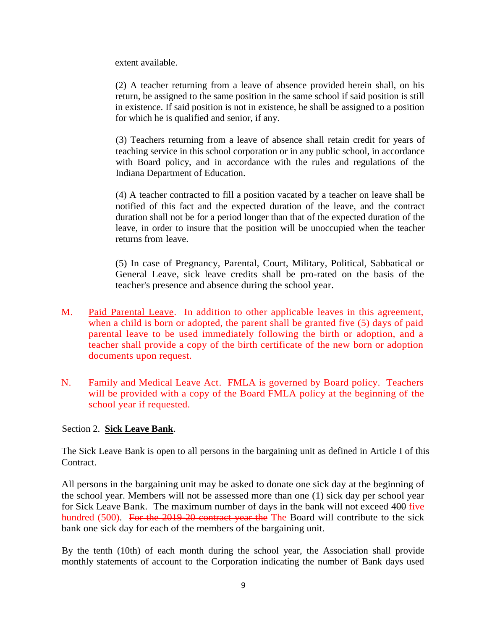extent available.

(2) A teacher returning from a leave of absence provided herein shall, on his return, be assigned to the same position in the same school if said position is still in existence. If said position is not in existence, he shall be assigned to a position for which he is qualified and senior, if any.

(3) Teachers returning from a leave of absence shall retain credit for years of teaching service in this school corporation or in any public school, in accordance with Board policy, and in accordance with the rules and regulations of the Indiana Department of Education.

(4) A teacher contracted to fill a position vacated by a teacher on leave shall be notified of this fact and the expected duration of the leave, and the contract duration shall not be for a period longer than that of the expected duration of the leave, in order to insure that the position will be unoccupied when the teacher returns from leave.

(5) In case of Pregnancy, Parental, Court, Military, Political, Sabbatical or General Leave, sick leave credits shall be pro-rated on the basis of the teacher's presence and absence during the school year.

- M. Paid Parental Leave. In addition to other applicable leaves in this agreement, when a child is born or adopted, the parent shall be granted five (5) days of paid parental leave to be used immediately following the birth or adoption, and a teacher shall provide a copy of the birth certificate of the new born or adoption documents upon request.
- N. Family and Medical Leave Act. FMLA is governed by Board policy. Teachers will be provided with a copy of the Board FMLA policy at the beginning of the school year if requested.

#### Section 2. **Sick Leave Bank**.

The Sick Leave Bank is open to all persons in the bargaining unit as defined in Article I of this Contract.

All persons in the bargaining unit may be asked to donate one sick day at the beginning of the school year. Members will not be assessed more than one (1) sick day per school year for Sick Leave Bank. The maximum number of days in the bank will not exceed 400 five hundred (500). For the 2019-20 contract year the The Board will contribute to the sick bank one sick day for each of the members of the bargaining unit.

By the tenth (10th) of each month during the school year, the Association shall provide monthly statements of account to the Corporation indicating the number of Bank days used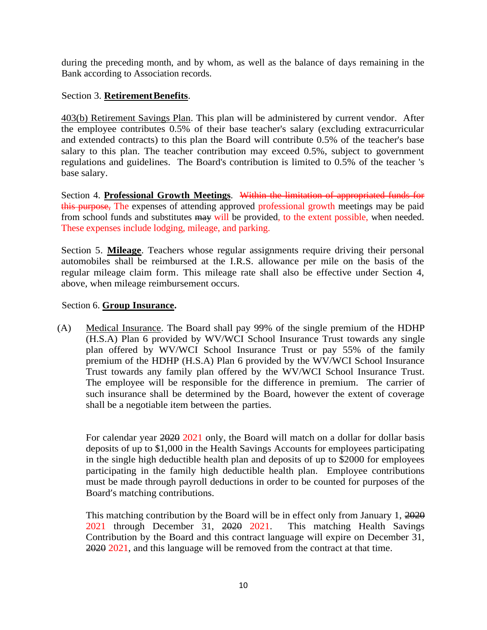during the preceding month, and by whom, as well as the balance of days remaining in the Bank according to Association records.

#### Section 3. **RetirementBenefits**.

403(b) Retirement Savings Plan. This plan will be administered by current vendor. After the employee contributes 0.5% of their base teacher's salary (excluding extracurricular and extended contracts) to this plan the Board will contribute 0.5% of the teacher's base salary to this plan. The teacher contribution may exceed 0.5%, subject to government regulations and guidelines. The Board's contribution is limited to 0.5% of the teacher 's base salary.

Section 4. **Professional Growth Meetings**. Within the limitation of appropriated funds for this purpose, The expenses of attending approved professional growth meetings may be paid from school funds and substitutes may will be provided, to the extent possible, when needed. These expenses include lodging, mileage, and parking.

Section 5. **Mileage**. Teachers whose regular assignments require driving their personal automobiles shall be reimbursed at the I.R.S. allowance per mile on the basis of the regular mileage claim form. This mileage rate shall also be effective under Section 4, above, when mileage reimbursement occurs.

#### Section 6. **Group Insurance.**

(A) Medical Insurance. The Board shall pay 99% of the single premium of the HDHP (H.S.A) Plan 6 provided by WV/WCI School Insurance Trust towards any single plan offered by WV/WCI School Insurance Trust or pay 55% of the family premium of the HDHP (H.S.A) Plan 6 provided by the WV/WCI School Insurance Trust towards any family plan offered by the WV/WCI School Insurance Trust. The employee will be responsible for the difference in premium. The carrier of such insurance shall be determined by the Board, however the extent of coverage shall be a negotiable item between the parties.

For calendar year 2020 2021 only, the Board will match on a dollar for dollar basis deposits of up to \$1,000 in the Health Savings Accounts for employees participating in the single high deductible health plan and deposits of up to \$2000 for employees participating in the family high deductible health plan. Employee contributions must be made through payroll deductions in order to be counted for purposes of the Board's matching contributions.

This matching contribution by the Board will be in effect only from January 1, 2020 2021 through December 31, 2020 2021. This matching Health Savings Contribution by the Board and this contract language will expire on December 31, 2020 2021, and this language will be removed from the contract at that time.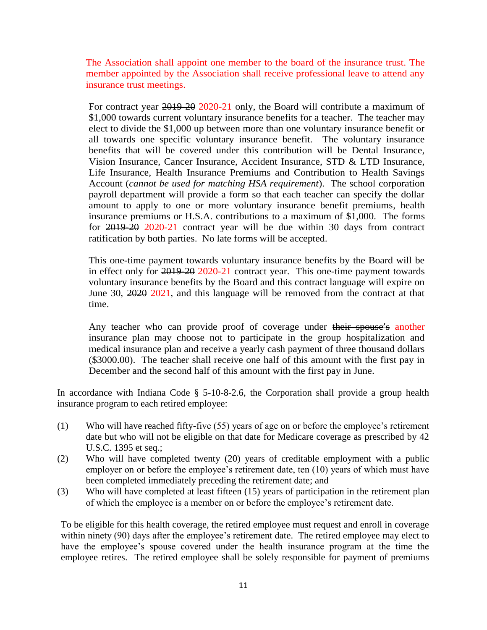The Association shall appoint one member to the board of the insurance trust. The member appointed by the Association shall receive professional leave to attend any insurance trust meetings.

For contract year 2019-20 2020-21 only, the Board will contribute a maximum of \$1,000 towards current voluntary insurance benefits for a teacher. The teacher may elect to divide the \$1,000 up between more than one voluntary insurance benefit or all towards one specific voluntary insurance benefit. The voluntary insurance benefits that will be covered under this contribution will be Dental Insurance, Vision Insurance, Cancer Insurance, Accident Insurance, STD & LTD Insurance, Life Insurance, Health Insurance Premiums and Contribution to Health Savings Account (*cannot be used for matching HSA requirement*). The school corporation payroll department will provide a form so that each teacher can specify the dollar amount to apply to one or more voluntary insurance benefit premiums, health insurance premiums or H.S.A. contributions to a maximum of \$1,000. The forms for 2019-20 2020-21 contract year will be due within 30 days from contract ratification by both parties. No late forms will be accepted.

This one-time payment towards voluntary insurance benefits by the Board will be in effect only for 2019-20 2020-21 contract year. This one-time payment towards voluntary insurance benefits by the Board and this contract language will expire on June 30, 2020 2021, and this language will be removed from the contract at that time.

Any teacher who can provide proof of coverage under their spouse's another insurance plan may choose not to participate in the group hospitalization and medical insurance plan and receive a yearly cash payment of three thousand dollars (\$3000.00). The teacher shall receive one half of this amount with the first pay in December and the second half of this amount with the first pay in June.

In accordance with Indiana Code § 5-10-8-2.6, the Corporation shall provide a group health insurance program to each retired employee:

- (1) Who will have reached fifty-five (55) years of age on or before the employee's retirement date but who will not be eligible on that date for Medicare coverage as prescribed by 42 U.S.C. 1395 et seq.;
- (2) Who will have completed twenty (20) years of creditable employment with a public employer on or before the employee's retirement date, ten (10) years of which must have been completed immediately preceding the retirement date; and
- (3) Who will have completed at least fifteen (15) years of participation in the retirement plan of which the employee is a member on or before the employee's retirement date.

To be eligible for this health coverage, the retired employee must request and enroll in coverage within ninety (90) days after the employee's retirement date. The retired employee may elect to have the employee's spouse covered under the health insurance program at the time the employee retires. The retired employee shall be solely responsible for payment of premiums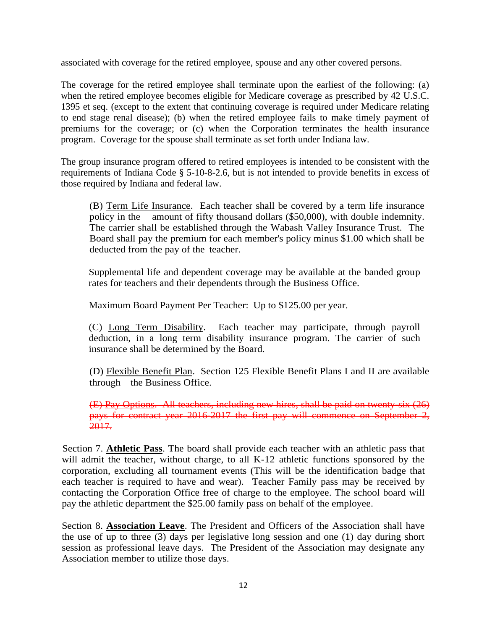associated with coverage for the retired employee, spouse and any other covered persons.

The coverage for the retired employee shall terminate upon the earliest of the following: (a) when the retired employee becomes eligible for Medicare coverage as prescribed by 42 U.S.C. 1395 et seq. (except to the extent that continuing coverage is required under Medicare relating to end stage renal disease); (b) when the retired employee fails to make timely payment of premiums for the coverage; or (c) when the Corporation terminates the health insurance program. Coverage for the spouse shall terminate as set forth under Indiana law.

The group insurance program offered to retired employees is intended to be consistent with the requirements of Indiana Code § 5-10-8-2.6, but is not intended to provide benefits in excess of those required by Indiana and federal law.

(B) Term Life Insurance. Each teacher shall be covered by a term life insurance policy in the amount of fifty thousand dollars (\$50,000), with double indemnity. The carrier shall be established through the Wabash Valley Insurance Trust. The Board shall pay the premium for each member's policy minus \$1.00 which shall be deducted from the pay of the teacher.

Supplemental life and dependent coverage may be available at the banded group rates for teachers and their dependents through the Business Office.

Maximum Board Payment Per Teacher: Up to \$125.00 per year.

(C) Long Term Disability. Each teacher may participate, through payroll deduction, in a long term disability insurance program. The carrier of such insurance shall be determined by the Board.

(D) Flexible Benefit Plan. Section 125 Flexible Benefit Plans I and II are available through the Business Office.

(E) Pay Options. All teachers, including new hires, shall be paid on twenty-six (26) pays for contract year 2016-2017 the first pay will commence on September 2, 2017.

Section 7. **Athletic Pass**. The board shall provide each teacher with an athletic pass that will admit the teacher, without charge, to all K-12 athletic functions sponsored by the corporation, excluding all tournament events (This will be the identification badge that each teacher is required to have and wear). Teacher Family pass may be received by contacting the Corporation Office free of charge to the employee. The school board will pay the athletic department the \$25.00 family pass on behalf of the employee.

Section 8. **Association Leave**. The President and Officers of the Association shall have the use of up to three (3) days per legislative long session and one (1) day during short session as professional leave days. The President of the Association may designate any Association member to utilize those days.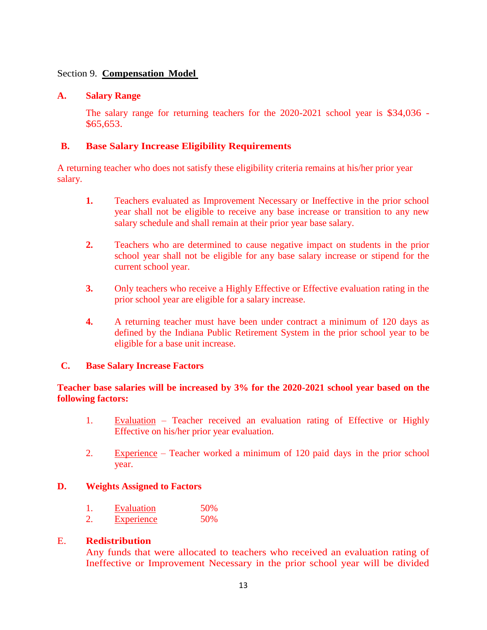#### Section 9. **Compensation Model**

#### **A. Salary Range**

The salary range for returning teachers for the 2020-2021 school year is \$34,036 - \$65,653.

#### **B. Base Salary Increase Eligibility Requirements**

A returning teacher who does not satisfy these eligibility criteria remains at his/her prior year salary.

- **1.** Teachers evaluated as Improvement Necessary or Ineffective in the prior school year shall not be eligible to receive any base increase or transition to any new salary schedule and shall remain at their prior year base salary.
- **2.** Teachers who are determined to cause negative impact on students in the prior school year shall not be eligible for any base salary increase or stipend for the current school year.
- **3.** Only teachers who receive a Highly Effective or Effective evaluation rating in the prior school year are eligible for a salary increase.
- **4.** A returning teacher must have been under contract a minimum of 120 days as defined by the Indiana Public Retirement System in the prior school year to be eligible for a base unit increase.

#### **C. Base Salary Increase Factors**

#### **Teacher base salaries will be increased by 3% for the 2020-2021 school year based on the following factors:**

- 1. Evaluation Teacher received an evaluation rating of Effective or Highly Effective on his/her prior year evaluation.
- 2. Experience Teacher worked a minimum of 120 paid days in the prior school year.

#### **D. Weights Assigned to Factors**

| Evaluation    | 50% |
|---------------|-----|
| Dana ani amba | EOM |

2. Experience 50%

#### E. **Redistribution**

Any funds that were allocated to teachers who received an evaluation rating of Ineffective or Improvement Necessary in the prior school year will be divided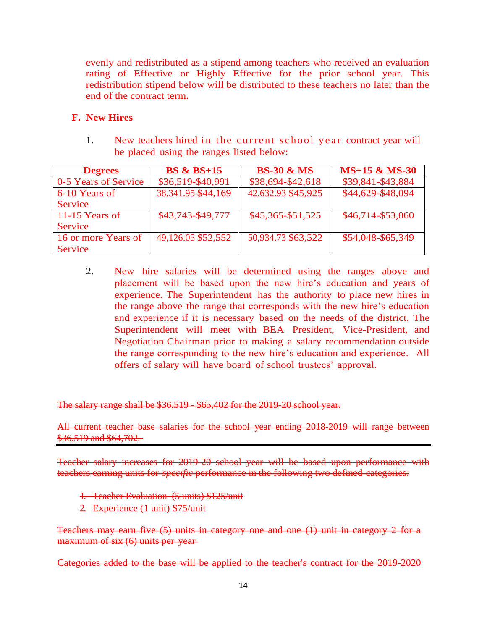evenly and redistributed as a stipend among teachers who received an evaluation rating of Effective or Highly Effective for the prior school year. This redistribution stipend below will be distributed to these teachers no later than the end of the contract term.

#### **F. New Hires**

1. New teachers hired in the current school year contract year will be placed using the ranges listed below:

| <b>Degrees</b>       | <b>BS &amp; BS+15</b> | <b>BS-30 &amp; MS</b> | $MS+15 & MS-30$   |
|----------------------|-----------------------|-----------------------|-------------------|
| 0-5 Years of Service | \$36,519-\$40,991     | \$38,694-\$42,618     | \$39,841-\$43,884 |
| 6-10 Years of        | 38, 341. 95 \$44, 169 | 42,632.93 \$45,925    | \$44,629-\$48,094 |
| <b>Service</b>       |                       |                       |                   |
| 11-15 Years of       | \$43,743-\$49,777     | \$45,365-\$51,525     | \$46,714-\$53,060 |
| <b>Service</b>       |                       |                       |                   |
| 16 or more Years of  | 49,126.05 \$52,552    | 50,934.73 \$63,522    | \$54,048-\$65,349 |
| <b>Service</b>       |                       |                       |                   |

2. New hire salaries will be determined using the ranges above and placement will be based upon the new hire's education and years of experience. The Superintendent has the authority to place new hires in the range above the range that corresponds with the new hire's education and experience if it is necessary based on the needs of the district. The Superintendent will meet with BEA President, Vice-President, and Negotiation Chairman prior to making a salary recommendation outside the range corresponding to the new hire's education and experience. All offers of salary will have board of school trustees' approval.

The salary range shall be \$36,519 - \$65,402 for the 2019-20 school year.

All current teacher base salaries for the school year ending 2018-2019 will range between \$36,519 and \$64,702.

Teacher salary increases for 2019-20 school year will be based upon performance with teachers earning units for *specific* performance in the following two defined categories:

1. Teacher Evaluation (5 units) \$125/unit

2. Experience (1 unit) \$75/unit

Teachers may earn five (5) units in category one and one (1) unit in category 2 for a maximum of six (6) units per year-

Categories added to the base will be applied to the teacher's contract for the 2019-2020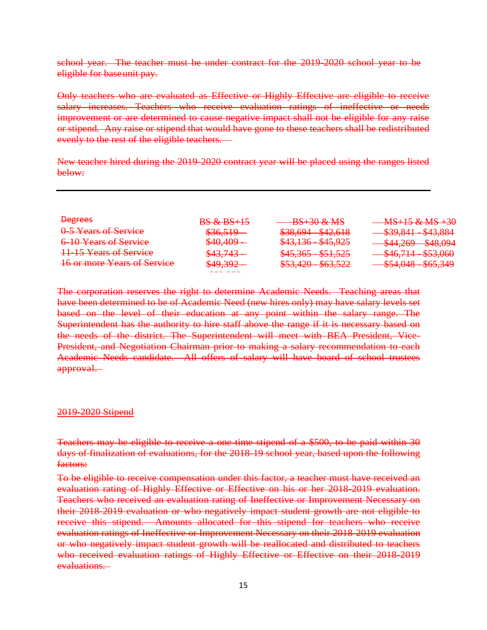school year. The teacher must be under contract for the 2019-2020 school year to be eligible for baseunit pay.

Only teachers who are evaluated as Effective or Highly Effective are eligible to receive salary increases. Teachers who receive evaluation ratings of ineffective or needs improvement or are determined to cause negative impact shall not be eligible for any raise or stipend. Any raise or stipend that would have gone to these teachers shall be redistributed evenly to the rest of the eligible teachers.

New teacher hired during the 2019-2020 contract year will be placed using the ranges listed below:

| <b>Degrees</b>                     | <b>BS &amp; BS+15</b>         | $BS+30$ & MS                                        | $MS+15 & MS+30$                                                                                                                                                                                                                                                                                                                                                                                                                                                                                                                                   |
|------------------------------------|-------------------------------|-----------------------------------------------------|---------------------------------------------------------------------------------------------------------------------------------------------------------------------------------------------------------------------------------------------------------------------------------------------------------------------------------------------------------------------------------------------------------------------------------------------------------------------------------------------------------------------------------------------------|
| 0-5 Years of Service               | \$36,519                      | $$38,694 - $42,618$                                 | $C20011$ $C12001$<br><del>,,,,,,,,,,,,,,,,,,,,,,,,</del>                                                                                                                                                                                                                                                                                                                                                                                                                                                                                          |
| 6-10 Years of Service              | $$40,409-$                    | $$43,136 - $45,925$                                 | $\triangle A$ Q $\triangle A$<br>$\mathcal{L}$ $\Lambda$ $\Lambda$ $\Omega$<br>$\overline{v}$ $\overline{r}$ $\overline{r}$ $\overline{r}$ $\overline{r}$ $\overline{r}$ $\overline{r}$ $\overline{r}$ $\overline{r}$ $\overline{r}$ $\overline{r}$ $\overline{r}$ $\overline{r}$ $\overline{r}$ $\overline{r}$ $\overline{r}$ $\overline{r}$ $\overline{r}$ $\overline{r}$ $\overline{r}$ $\overline{r}$ $\overline{r}$ $\overline{r}$ $\overline{r}$ $\overline{$<br>$\overline{v}$ $\overline{v}$ $\overline{v}$ $\overline{v}$ $\overline{v}$ |
| 11-15 Years of Service             | \$43,743                      | $$45,365 - $51,525$                                 | $\sqrt{46714}$ $\sqrt{52060}$<br>$\frac{1}{2}$ $\frac{1}{2}$ $\frac{1}{2}$ $\frac{1}{2}$ $\frac{1}{2}$ $\frac{1}{2}$ $\frac{1}{2}$ $\frac{1}{2}$ $\frac{1}{2}$ $\frac{1}{2}$ $\frac{1}{2}$ $\frac{1}{2}$ $\frac{1}{2}$ $\frac{1}{2}$ $\frac{1}{2}$ $\frac{1}{2}$ $\frac{1}{2}$ $\frac{1}{2}$ $\frac{1}{2}$ $\frac{1}{2}$ $\frac{1}{2}$ $\frac{1}{2}$                                                                                                                                                                                              |
| <b>16 or more Years of Service</b> | \$49,392                      | $$53,420$ $$63,522$<br><del>0JJ,120 - 0UJ,J22</del> | $\sqrt{540}$ $\sqrt{48}$ $\sqrt{55}$ $\sqrt{240}$<br><del>᠊ᠣᢣᠲᡕᠸᠣ᠆᠆᠊ᠣᠦᢣᠷᢣ᠇ᢣ</del>                                                                                                                                                                                                                                                                                                                                                                                                                                                                 |
|                                    | And the state of the state of |                                                     |                                                                                                                                                                                                                                                                                                                                                                                                                                                                                                                                                   |

The corporation reserves the right to determine Academic Needs. Teaching areas that have been determined to be of Academic Need (new hires only) may have salary levels set based on the level of their education at any point within the salary range. The Superintendent has the authority to hire staff above the range if it is necessary based on the needs of the district. The Superintendent will meet with BEA President, Vice-President, and Negotiation Chairman prior to making a salary recommendation to each Academic Needs candidate. All offers of salary will have board of school trustees approval.

#### 2019-2020 Stipend

Teachers may be eligible to receive a one-time stipend of a \$500, to be paid within 30 days of finalization of evaluations, for the 2018-19 school year, based upon the following factors:

To be eligible to receive compensation under this factor, a teacher must have received an evaluation rating of Highly Effective or Effective on his or her 2018-2019 evaluation. Teachers who received an evaluation rating of Ineffective or Improvement Necessary on their 2018-2019 evaluation or who negatively impact student growth are not eligible to receive this stipend. Amounts allocated for this stipend for teachers who receive evaluation ratings of Ineffective or Improvement Necessary on their 2018-2019 evaluation or who negatively impact student growth will be reallocated and distributed to teachers who received evaluation ratings of Highly Effective or Effective on their 2018-2019 evaluations.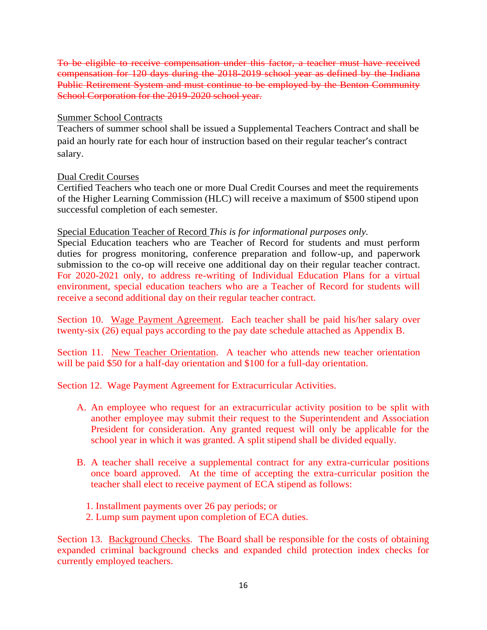To be eligible to receive compensation under this factor, a teacher must have received compensation for 120 days during the 2018-2019 school year as defined by the Indiana Public Retirement System and must continue to be employed by the Benton Community School Corporation for the 2019-2020 school year.

#### Summer School Contracts

Teachers of summer school shall be issued a Supplemental Teachers Contract and shall be paid an hourly rate for each hour of instruction based on their regular teacher's contract salary.

#### Dual Credit Courses

Certified Teachers who teach one or more Dual Credit Courses and meet the requirements of the Higher Learning Commission (HLC) will receive a maximum of \$500 stipend upon successful completion of each semester.

#### Special Education Teacher of Record *This is for informational purposes only.*

Special Education teachers who are Teacher of Record for students and must perform duties for progress monitoring, conference preparation and follow-up, and paperwork submission to the co-op will receive one additional day on their regular teacher contract. For 2020-2021 only, to address re-writing of Individual Education Plans for a virtual environment, special education teachers who are a Teacher of Record for students will receive a second additional day on their regular teacher contract.

Section 10. Wage Payment Agreement. Each teacher shall be paid his/her salary over twenty-six (26) equal pays according to the pay date schedule attached as Appendix B.

Section 11. New Teacher Orientation. A teacher who attends new teacher orientation will be paid \$50 for a half-day orientation and \$100 for a full-day orientation.

Section 12. Wage Payment Agreement for Extracurricular Activities.

- A. An employee who request for an extracurricular activity position to be split with another employee may submit their request to the Superintendent and Association President for consideration. Any granted request will only be applicable for the school year in which it was granted. A split stipend shall be divided equally.
- B. A teacher shall receive a supplemental contract for any extra-curricular positions once board approved. At the time of accepting the extra-curricular position the teacher shall elect to receive payment of ECA stipend as follows:
	- 1. Installment payments over 26 pay periods; or
	- 2. Lump sum payment upon completion of ECA duties.

Section 13. Background Checks. The Board shall be responsible for the costs of obtaining expanded criminal background checks and expanded child protection index checks for currently employed teachers.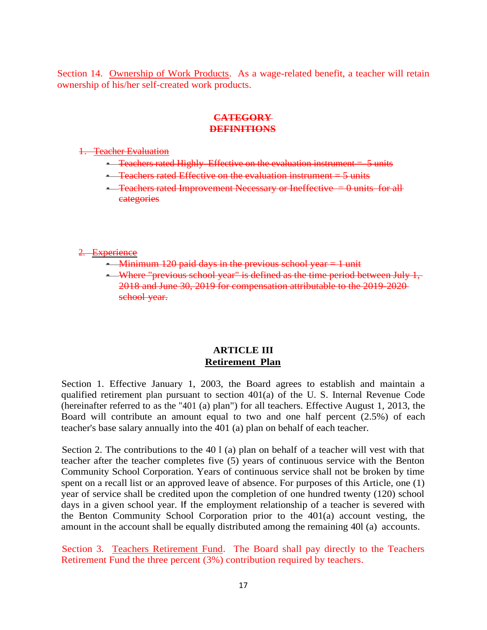Section 14. Ownership of Work Products. As a wage-related benefit, a teacher will retain ownership of his/her self-created work products.

#### **CATEGORY DEFINITIONS**

1. Teacher Evaluation

- $\text{-}$  Teachers rated Highly Effective on the evaluation instrument  $=$  5 units
- $\text{-}$  Teachers rated Effective on the evaluation instrument = 5 units
- Teachers rated Improvement Necessary or Ineffective  $= 0$  units for all categories

2. Experience

- Minimum 120 paid days in the previous school year  $= 1$  unit
- Where "previous school year" is defined as the time period between July 1, 2018 and June 30, 2019 for compensation attributable to the 2019-2020 school year.

#### **ARTICLE III Retirement Plan**

Section 1. Effective January 1, 2003, the Board agrees to establish and maintain a qualified retirement plan pursuant to section 401(a) of the U. S. Internal Revenue Code (hereinafter referred to as the "401 (a) plan") for all teachers. Effective August 1, 2013, the Board will contribute an amount equal to two and one half percent (2.5%) of each teacher's base salary annually into the 401 (a) plan on behalf of each teacher.

Section 2. The contributions to the 40 l (a) plan on behalf of a teacher will vest with that teacher after the teacher completes five (5) years of continuous service with the Benton Community School Corporation. Years of continuous service shall not be broken by time spent on a recall list or an approved leave of absence. For purposes of this Article, one (1) year of service shall be credited upon the completion of one hundred twenty (120) school days in a given school year. If the employment relationship of a teacher is severed with the Benton Community School Corporation prior to the 401(a) account vesting, the amount in the account shall be equally distributed among the remaining 40l (a) accounts.

Section 3. Teachers Retirement Fund. The Board shall pay directly to the Teachers Retirement Fund the three percent (3%) contribution required by teachers.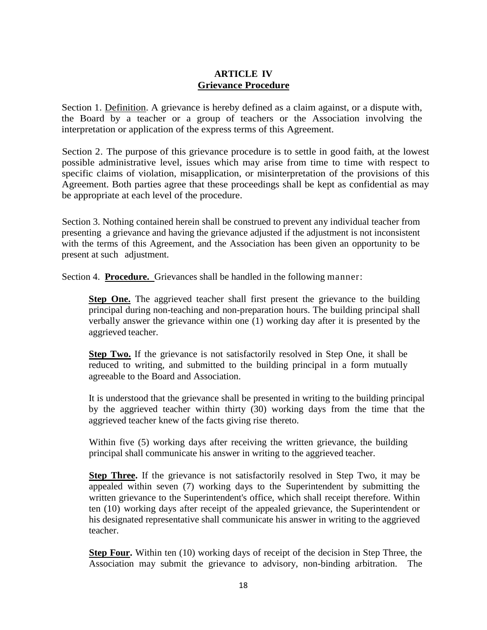#### **ARTICLE IV Grievance Procedure**

Section 1. Definition. A grievance is hereby defined as a claim against, or a dispute with, the Board by a teacher or a group of teachers or the Association involving the interpretation or application of the express terms of this Agreement.

Section 2. The purpose of this grievance procedure is to settle in good faith, at the lowest possible administrative level, issues which may arise from time to time with respect to specific claims of violation, misapplication, or misinterpretation of the provisions of this Agreement. Both parties agree that these proceedings shall be kept as confidential as may be appropriate at each level of the procedure.

Section 3. Nothing contained herein shall be construed to prevent any individual teacher from presenting a grievance and having the grievance adjusted if the adjustment is not inconsistent with the terms of this Agreement, and the Association has been given an opportunity to be present at such adjustment.

Section 4. **Procedure.** Grievances shall be handled in the following manner:

**Step One.** The aggrieved teacher shall first present the grievance to the building principal during non-teaching and non-preparation hours. The building principal shall verbally answer the grievance within one (1) working day after it is presented by the aggrieved teacher.

**Step Two.** If the grievance is not satisfactorily resolved in Step One, it shall be reduced to writing, and submitted to the building principal in a form mutually agreeable to the Board and Association.

It is understood that the grievance shall be presented in writing to the building principal by the aggrieved teacher within thirty (30) working days from the time that the aggrieved teacher knew of the facts giving rise thereto.

Within five (5) working days after receiving the written grievance, the building principal shall communicate his answer in writing to the aggrieved teacher.

**Step Three.** If the grievance is not satisfactorily resolved in Step Two, it may be appealed within seven (7) working days to the Superintendent by submitting the written grievance to the Superintendent's office, which shall receipt therefore. Within ten (10) working days after receipt of the appealed grievance, the Superintendent or his designated representative shall communicate his answer in writing to the aggrieved teacher.

**Step Four.** Within ten (10) working days of receipt of the decision in Step Three, the Association may submit the grievance to advisory, non-binding arbitration. The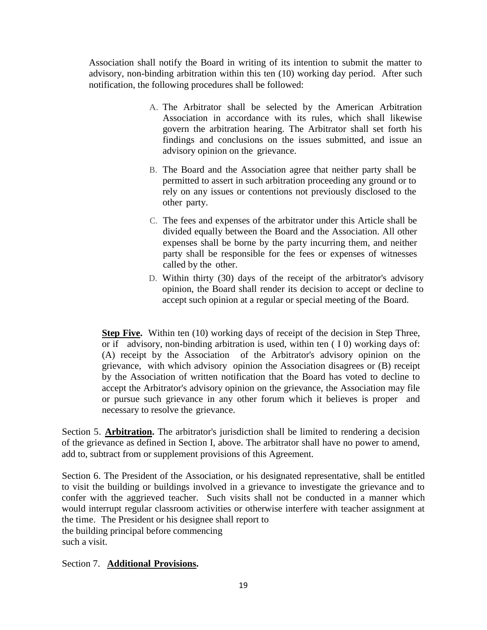Association shall notify the Board in writing of its intention to submit the matter to advisory, non-binding arbitration within this ten (10) working day period. After such notification, the following procedures shall be followed:

- A. The Arbitrator shall be selected by the American Arbitration Association in accordance with its rules, which shall likewise govern the arbitration hearing. The Arbitrator shall set forth his findings and conclusions on the issues submitted, and issue an advisory opinion on the grievance.
- B. The Board and the Association agree that neither party shall be permitted to assert in such arbitration proceeding any ground or to rely on any issues or contentions not previously disclosed to the other party.
- C. The fees and expenses of the arbitrator under this Article shall be divided equally between the Board and the Association. All other expenses shall be borne by the party incurring them, and neither party shall be responsible for the fees or expenses of witnesses called by the other.
- D. Within thirty (30) days of the receipt of the arbitrator's advisory opinion, the Board shall render its decision to accept or decline to accept such opinion at a regular or special meeting of the Board.

**Step Five.** Within ten (10) working days of receipt of the decision in Step Three, or if advisory, non-binding arbitration is used, within ten ( I 0) working days of: (A) receipt by the Association of the Arbitrator's advisory opinion on the grievance, with which advisory opinion the Association disagrees or (B) receipt by the Association of written notification that the Board has voted to decline to accept the Arbitrator's advisory opinion on the grievance, the Association may file or pursue such grievance in any other forum which it believes is proper and necessary to resolve the grievance.

Section 5. **Arbitration.** The arbitrator's jurisdiction shall be limited to rendering a decision of the grievance as defined in Section I, above. The arbitrator shall have no power to amend, add to, subtract from or supplement provisions of this Agreement.

Section 6. The President of the Association, or his designated representative, shall be entitled to visit the building or buildings involved in a grievance to investigate the grievance and to confer with the aggrieved teacher. Such visits shall not be conducted in a manner which would interrupt regular classroom activities or otherwise interfere with teacher assignment at the time. The President or his designee shall report to the building principal before commencing such a visit.

Section 7. **Additional Provisions.**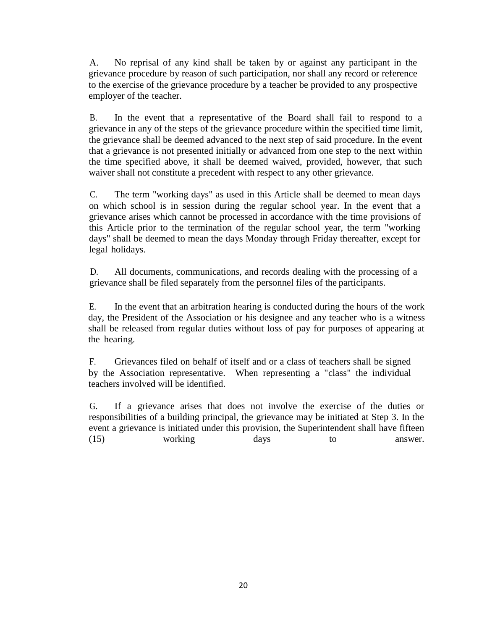A. No reprisal of any kind shall be taken by or against any participant in the grievance procedure by reason of such participation, nor shall any record or reference to the exercise of the grievance procedure by a teacher be provided to any prospective employer of the teacher.

B. In the event that a representative of the Board shall fail to respond to a grievance in any of the steps of the grievance procedure within the specified time limit, the grievance shall be deemed advanced to the next step of said procedure. In the event that a grievance is not presented initially or advanced from one step to the next within the time specified above, it shall be deemed waived, provided, however, that such waiver shall not constitute a precedent with respect to any other grievance.

C. The term "working days" as used in this Article shall be deemed to mean days on which school is in session during the regular school year. In the event that a grievance arises which cannot be processed in accordance with the time provisions of this Article prior to the termination of the regular school year, the term "working days" shall be deemed to mean the days Monday through Friday thereafter, except for legal holidays.

D. All documents, communications, and records dealing with the processing of a grievance shall be filed separately from the personnel files of the participants.

E. In the event that an arbitration hearing is conducted during the hours of the work day, the President of the Association or his designee and any teacher who is a witness shall be released from regular duties without loss of pay for purposes of appearing at the hearing.

F. Grievances filed on behalf of itself and or a class of teachers shall be signed by the Association representative. When representing a "class" the individual teachers involved will be identified.

G. If a grievance arises that does not involve the exercise of the duties or responsibilities of a building principal, the grievance may be initiated at Step 3. In the event a grievance is initiated under this provision, the Superintendent shall have fifteen (15) working days to answer.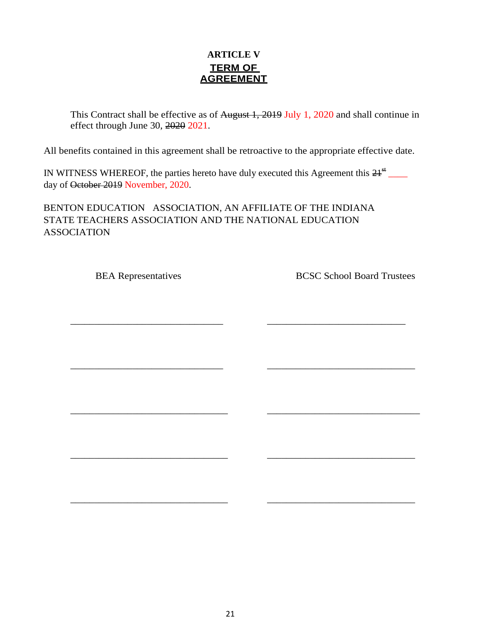### **ARTICLE V TERM OF AGREEMENT**

This Contract shall be effective as of August 1, 2019 July 1, 2020 and shall continue in effect through June 30, 2020 2021.

All benefits contained in this agreement shall be retroactive to the appropriate effective date.

IN WITNESS WHEREOF, the parties hereto have duly executed this Agreement this  $21^{st}$  \_\_\_\_ day of October 2019 November, 2020.

\_\_\_\_\_\_\_\_\_\_\_\_\_\_\_\_\_\_\_\_\_\_\_\_\_\_\_\_\_\_\_\_ \_\_\_\_\_\_\_\_\_\_\_\_\_\_\_\_\_\_\_\_\_\_\_\_\_\_\_\_\_

\_\_\_\_\_\_\_\_\_\_\_\_\_\_\_\_\_\_\_\_\_\_\_\_\_\_\_\_\_\_\_\_ \_\_\_\_\_\_\_\_\_\_\_\_\_\_\_\_\_\_\_\_\_\_\_\_\_\_\_\_\_\_\_

\_\_\_\_\_\_\_\_\_\_\_\_\_\_\_\_\_\_\_\_\_\_\_\_\_\_\_\_\_\_\_\_\_ \_\_\_\_\_\_\_\_\_\_\_\_\_\_\_\_\_\_\_\_\_\_\_\_\_\_\_\_\_\_\_\_

\_\_\_\_\_\_\_\_\_\_\_\_\_\_\_\_\_\_\_\_\_\_\_\_\_\_\_\_\_\_\_\_\_ \_\_\_\_\_\_\_\_\_\_\_\_\_\_\_\_\_\_\_\_\_\_\_\_\_\_\_\_\_\_\_

 $\frac{1}{2}$  ,  $\frac{1}{2}$  ,  $\frac{1}{2}$  ,  $\frac{1}{2}$  ,  $\frac{1}{2}$  ,  $\frac{1}{2}$  ,  $\frac{1}{2}$  ,  $\frac{1}{2}$  ,  $\frac{1}{2}$  ,  $\frac{1}{2}$  ,  $\frac{1}{2}$  ,  $\frac{1}{2}$  ,  $\frac{1}{2}$  ,  $\frac{1}{2}$  ,  $\frac{1}{2}$  ,  $\frac{1}{2}$  ,  $\frac{1}{2}$  ,  $\frac{1}{2}$  ,  $\frac{1$ 

BENTON EDUCATION ASSOCIATION, AN AFFILIATE OF THE INDIANA STATE TEACHERS ASSOCIATION AND THE NATIONAL EDUCATION ASSOCIATION

BEA Representatives BCSC School Board Trustees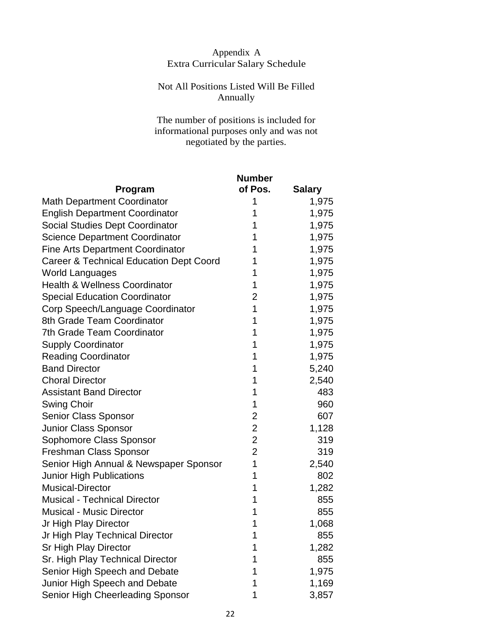### Appendix A Extra Curricular Salary Schedule

### Not All Positions Listed Will Be Filled Annually

The number of positions is included for informational purposes only and was not negotiated by the parties.

|                                                    | <b>Number</b>  |               |
|----------------------------------------------------|----------------|---------------|
| <b>Program</b>                                     | of Pos.        | <b>Salary</b> |
| <b>Math Department Coordinator</b>                 | 1              | 1,975         |
| <b>English Department Coordinator</b>              | 1              | 1,975         |
| Social Studies Dept Coordinator                    | 1              | 1,975         |
| <b>Science Department Coordinator</b>              | 1              | 1,975         |
| <b>Fine Arts Department Coordinator</b>            | 1              | 1,975         |
| <b>Career &amp; Technical Education Dept Coord</b> | 1              | 1,975         |
| <b>World Languages</b>                             | 1              | 1,975         |
| <b>Health &amp; Wellness Coordinator</b>           | 1              | 1,975         |
| <b>Special Education Coordinator</b>               | $\overline{2}$ | 1,975         |
| Corp Speech/Language Coordinator                   | 1              | 1,975         |
| 8th Grade Team Coordinator                         | 1              | 1,975         |
| 7th Grade Team Coordinator                         | 1              | 1,975         |
| <b>Supply Coordinator</b>                          | 1              | 1,975         |
| <b>Reading Coordinator</b>                         | 1              | 1,975         |
| <b>Band Director</b>                               | 1              | 5,240         |
| <b>Choral Director</b>                             | 1              | 2,540         |
| <b>Assistant Band Director</b>                     | 1              | 483           |
| <b>Swing Choir</b>                                 | 1              | 960           |
| <b>Senior Class Sponsor</b>                        | $\overline{2}$ | 607           |
| Junior Class Sponsor                               | $\overline{2}$ | 1,128         |
| Sophomore Class Sponsor                            | $\mathbf{2}$   | 319           |
| Freshman Class Sponsor                             | $\overline{2}$ | 319           |
| Senior High Annual & Newspaper Sponsor             | 1              | 2,540         |
| <b>Junior High Publications</b>                    | 1              | 802           |
| <b>Musical-Director</b>                            | 1              | 1,282         |
| <b>Musical - Technical Director</b>                | 1              | 855           |
| <b>Musical - Music Director</b>                    | 1              | 855           |
| Jr High Play Director                              | 1              | 1,068         |
| Jr High Play Technical Director                    | 1              | 855           |
| Sr High Play Director                              | 1              | 1,282         |
| Sr. High Play Technical Director                   | 1              | 855           |
| Senior High Speech and Debate                      | 1              | 1,975         |
| Junior High Speech and Debate                      | 1              | 1,169         |
| Senior High Cheerleading Sponsor                   | 1              | 3,857         |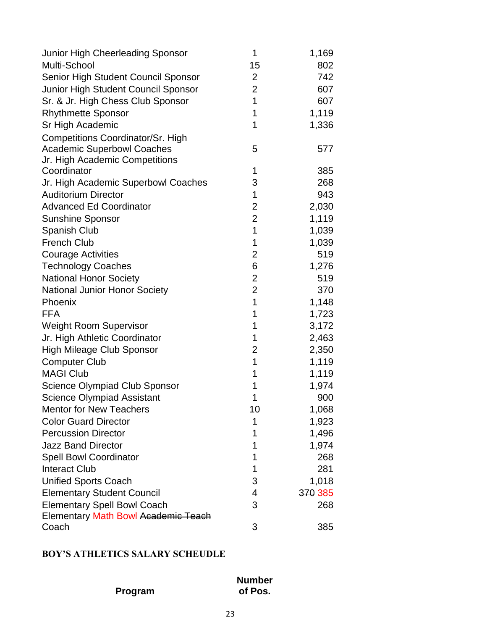| Junior High Cheerleading Sponsor           | 1              | 1,169   |
|--------------------------------------------|----------------|---------|
| Multi-School                               | 15             | 802     |
| Senior High Student Council Sponsor        | $\overline{2}$ | 742     |
| Junior High Student Council Sponsor        | $\overline{2}$ | 607     |
| Sr. & Jr. High Chess Club Sponsor          | 1              | 607     |
| <b>Rhythmette Sponsor</b>                  | 1              | 1,119   |
| Sr High Academic                           | 1              | 1,336   |
| <b>Competitions Coordinator/Sr. High</b>   |                |         |
| <b>Academic Superbowl Coaches</b>          | 5              | 577     |
| Jr. High Academic Competitions             |                |         |
| Coordinator                                | 1              | 385     |
| Jr. High Academic Superbowl Coaches        | 3              | 268     |
| <b>Auditorium Director</b>                 | 1              | 943     |
| <b>Advanced Ed Coordinator</b>             | $\overline{2}$ | 2,030   |
| Sunshine Sponsor                           | $\overline{2}$ | 1,119   |
| <b>Spanish Club</b>                        | 1              | 1,039   |
| <b>French Club</b>                         | 1              | 1,039   |
| <b>Courage Activities</b>                  | $\overline{2}$ | 519     |
| <b>Technology Coaches</b>                  | 6              | 1,276   |
| <b>National Honor Society</b>              | $\overline{2}$ | 519     |
| <b>National Junior Honor Society</b>       | $\overline{2}$ | 370     |
| Phoenix                                    | 1              | 1,148   |
| <b>FFA</b>                                 | 1              | 1,723   |
| <b>Weight Room Supervisor</b>              | 1              | 3,172   |
| Jr. High Athletic Coordinator              | 1              | 2,463   |
| <b>High Mileage Club Sponsor</b>           | 2              | 2,350   |
| <b>Computer Club</b>                       | 1              | 1,119   |
| <b>MAGI Club</b>                           | 1              | 1,119   |
| <b>Science Olympiad Club Sponsor</b>       | 1              | 1,974   |
| <b>Science Olympiad Assistant</b>          | 1              | 900     |
| <b>Mentor for New Teachers</b>             | 10             | 1,068   |
| <b>Color Guard Director</b>                | 1              | 1,923   |
| <b>Percussion Director</b>                 | 1              | 1,496   |
| <b>Jazz Band Director</b>                  | 1              | 1,974   |
| <b>Spell Bowl Coordinator</b>              | 1              | 268     |
| <b>Interact Club</b>                       | 1              | 281     |
| <b>Unified Sports Coach</b>                | 3              | 1,018   |
| <b>Elementary Student Council</b>          | 4              | 370 385 |
| <b>Elementary Spell Bowl Coach</b>         | 3              | 268     |
| <b>Elementary Math Bowl Academic Teach</b> |                |         |
| Coach                                      | 3              | 385     |

### **BOY'S ATHLETICS SALARY SCHEUDLE**

| Program |  |
|---------|--|
|         |  |

**Number of Pos.**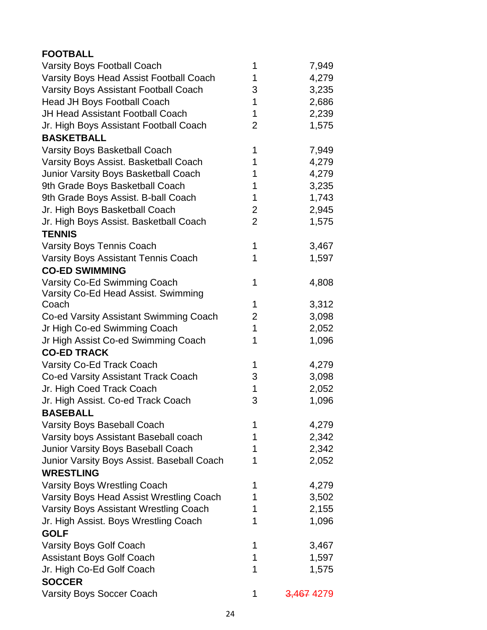| <b>FOOTBALL</b>                                |                |                       |
|------------------------------------------------|----------------|-----------------------|
| Varsity Boys Football Coach                    | 1              | 7,949                 |
| <b>Varsity Boys Head Assist Football Coach</b> | 1              | 4,279                 |
| <b>Varsity Boys Assistant Football Coach</b>   | 3              | 3,235                 |
| Head JH Boys Football Coach                    | 1              | 2,686                 |
| <b>JH Head Assistant Football Coach</b>        | 1              | 2,239                 |
| Jr. High Boys Assistant Football Coach         | $\overline{2}$ | 1,575                 |
| <b>BASKETBALL</b>                              |                |                       |
| <b>Varsity Boys Basketball Coach</b>           | 1              | 7,949                 |
| Varsity Boys Assist. Basketball Coach          | 1              | 4,279                 |
| Junior Varsity Boys Basketball Coach           | 1              | 4,279                 |
| 9th Grade Boys Basketball Coach                | 1              | 3,235                 |
| 9th Grade Boys Assist. B-ball Coach            | 1              | 1,743                 |
| Jr. High Boys Basketball Coach                 | $\overline{2}$ | 2,945                 |
| Jr. High Boys Assist. Basketball Coach         | $\overline{2}$ | 1,575                 |
| <b>TENNIS</b>                                  |                |                       |
| <b>Varsity Boys Tennis Coach</b>               | 1              | 3,467                 |
| <b>Varsity Boys Assistant Tennis Coach</b>     | 1              | 1,597                 |
| <b>CO-ED SWIMMING</b>                          |                |                       |
| Varsity Co-Ed Swimming Coach                   | 1              | 4,808                 |
| Varsity Co-Ed Head Assist. Swimming            |                |                       |
| Coach                                          | 1              | 3,312                 |
| Co-ed Varsity Assistant Swimming Coach         | $\overline{2}$ | 3,098                 |
| Jr High Co-ed Swimming Coach                   | 1              | 2,052                 |
| Jr High Assist Co-ed Swimming Coach            | 1              | 1,096                 |
| <b>CO-ED TRACK</b>                             |                |                       |
| Varsity Co-Ed Track Coach                      | 1              | 4,279                 |
| Co-ed Varsity Assistant Track Coach            | 3              | 3,098                 |
| Jr. High Coed Track Coach                      | 1              | 2,052                 |
| Jr. High Assist. Co-ed Track Coach             | 3              | 1,096                 |
| <b>BASEBALL</b>                                |                |                       |
| Varsity Boys Baseball Coach                    | 1              | 4,279                 |
| Varsity boys Assistant Baseball coach          | 1              | 2,342                 |
| <b>Junior Varsity Boys Baseball Coach</b>      | 1              | 2,342                 |
| Junior Varsity Boys Assist. Baseball Coach     | 1              | 2,052                 |
| <b>WRESTLING</b>                               |                |                       |
| <b>Varsity Boys Wrestling Coach</b>            | 1              | 4,279                 |
| Varsity Boys Head Assist Wrestling Coach       | 1              | 3,502                 |
| <b>Varsity Boys Assistant Wrestling Coach</b>  | 1              | 2,155                 |
| Jr. High Assist. Boys Wrestling Coach          | 1              | 1,096                 |
| <b>GOLF</b>                                    |                |                       |
| <b>Varsity Boys Golf Coach</b>                 | 1              | 3,467                 |
| <b>Assistant Boys Golf Coach</b>               | 1              | 1,597                 |
| Jr. High Co-Ed Golf Coach                      | 1              | 1,575                 |
| <b>SOCCER</b>                                  |                |                       |
| <b>Varsity Boys Soccer Coach</b>               | 1              | <del>3,467</del> 4279 |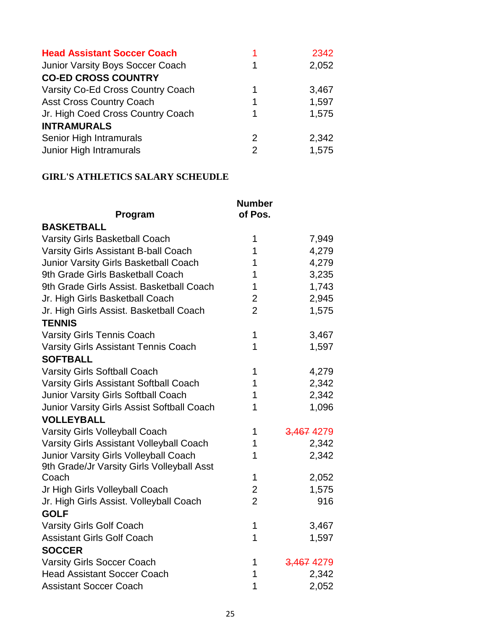| <b>Head Assistant Soccer Coach</b>      |               | 2342  |
|-----------------------------------------|---------------|-------|
| <b>Junior Varsity Boys Soccer Coach</b> | 1             | 2,052 |
| <b>CO-ED CROSS COUNTRY</b>              |               |       |
| Varsity Co-Ed Cross Country Coach       | 1             | 3,467 |
| <b>Asst Cross Country Coach</b>         | 1             | 1,597 |
| Jr. High Coed Cross Country Coach       | 1             | 1,575 |
| <b>INTRAMURALS</b>                      |               |       |
| Senior High Intramurals                 | $\mathcal{P}$ | 2,342 |
| Junior High Intramurals                 | 2             | 1,575 |
|                                         |               |       |

### **GIRL'S ATHLETICS SALARY SCHEUDLE**

| Program                                           | <b>Number</b><br>of Pos. |            |
|---------------------------------------------------|--------------------------|------------|
| <b>BASKETBALL</b>                                 |                          |            |
| Varsity Girls Basketball Coach                    | 1                        | 7,949      |
| <b>Varsity Girls Assistant B-ball Coach</b>       | 1                        | 4,279      |
| <b>Junior Varsity Girls Basketball Coach</b>      | 1                        | 4,279      |
| 9th Grade Girls Basketball Coach                  | 1                        | 3,235      |
| 9th Grade Girls Assist. Basketball Coach          | 1                        | 1,743      |
| Jr. High Girls Basketball Coach                   | $\overline{2}$           | 2,945      |
| Jr. High Girls Assist. Basketball Coach           | $\overline{2}$           | 1,575      |
| <b>TENNIS</b>                                     |                          |            |
| <b>Varsity Girls Tennis Coach</b>                 | 1                        | 3,467      |
| <b>Varsity Girls Assistant Tennis Coach</b>       | 1                        | 1,597      |
| <b>SOFTBALL</b>                                   |                          |            |
| <b>Varsity Girls Softball Coach</b>               | 1                        | 4,279      |
| <b>Varsity Girls Assistant Softball Coach</b>     | 1                        | 2,342      |
| Junior Varsity Girls Softball Coach               | 1                        | 2,342      |
| <b>Junior Varsity Girls Assist Softball Coach</b> | 1                        | 1,096      |
| <b>VOLLEYBALL</b>                                 |                          |            |
| Varsity Girls Volleyball Coach                    | 1                        | 3,467 4279 |
| Varsity Girls Assistant Volleyball Coach          | 1                        | 2,342      |
| Junior Varsity Girls Volleyball Coach             | 1                        | 2,342      |
| 9th Grade/Jr Varsity Girls Volleyball Asst        |                          |            |
| Coach                                             | 1                        | 2,052      |
| Jr High Girls Volleyball Coach                    | $\overline{2}$           | 1,575      |
| Jr. High Girls Assist. Volleyball Coach           | $\overline{2}$           | 916        |
| <b>GOLF</b>                                       |                          |            |
| <b>Varsity Girls Golf Coach</b>                   | 1                        | 3,467      |
| <b>Assistant Girls Golf Coach</b>                 | 1                        | 1,597      |
| <b>SOCCER</b>                                     |                          |            |
| <b>Varsity Girls Soccer Coach</b>                 | 1                        | 3,467 4279 |
| <b>Head Assistant Soccer Coach</b>                | 1                        | 2,342      |
| <b>Assistant Soccer Coach</b>                     | 1                        | 2,052      |